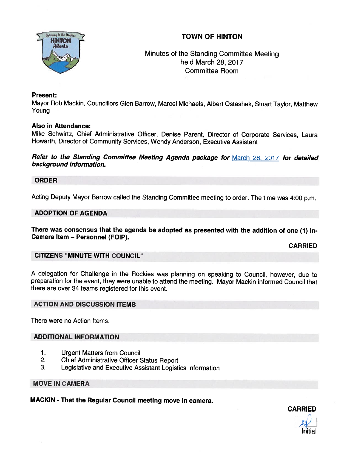

# TOWN OF HINTON

# Minutes of the Standing Committee Meeting held March 28, 2017 Committee Room

### Present:

Mayor Rob Mackin, Councillors Glen Barrow, Marcel Michaels, Albert Ostashek, Stuart Taylor, Matthew Young

#### Also in Attendance:

Mike Schwirtz, Chief Administrative Officer, Denise Parent, Director of Corporate Services, Laura Howarth, Director of Community Services, Wendy Anderson, Executive Assistant

Refer to the Standing Committee Meeting Agenda package for March 28, 2017 for detailed background information.

ORDER

Acting Deputy Mayor Barrow called the Standing Committee meeting to order. The time was 4:00 p.m.

#### ADOPTION OF AGENDA

There was consensus that the agenda be adopted as presented with the addition of one (7) In-Camera Item — Personnel (FOIP).

CARRIED

#### CITIZENS "MINUTE WITH COUNCIL"

<sup>A</sup> delegation for Challenge in the Rockies was <sup>p</sup>lanning on speaking to Council, however, due to preparation for the event, they were unable to attend the meeting. Mayor Mackin informed Council that there are over 34 teams registered for this event.

#### ACTION AND DISCUSSION ITEMS

There were no Action Items.

## ADDITIONAL INFORMATION

- 1. Urgent Matters from Council
- 2. Chief Administrative Officer Status Report
- 3. Legislative and Executive Assistant Logistics Information

#### MOVE IN CAMERA

MACKIN - That the Regular Council meeting move in camera.